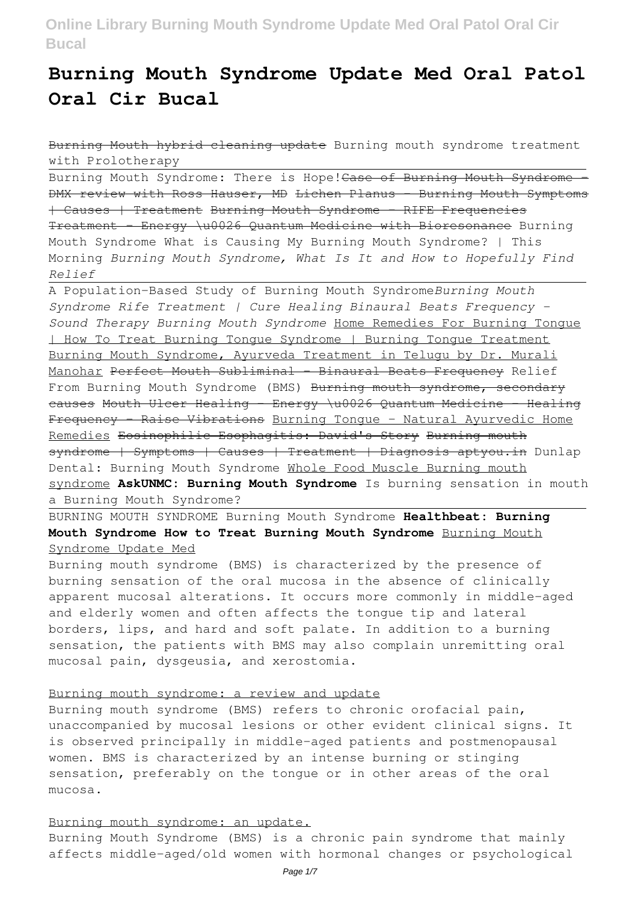# **Burning Mouth Syndrome Update Med Oral Patol Oral Cir Bucal**

Burning Mouth hybrid cleaning update Burning mouth syndrome treatment with Prolotherapy

Burning Mouth Syndrome: There is Hope! Case of Burning Mouth Syndrome DMX review with Ross Hauser, MD Lichen Planus - Burning Mouth Symptoms | Causes | Treatment Burning Mouth Syndrome - RIFE Frequencies Treatment - Energy \u0026 Quantum Medicine with Bioresonance Burning Mouth Syndrome What is Causing My Burning Mouth Syndrome? | This Morning *Burning Mouth Syndrome, What Is It and How to Hopefully Find Relief*

A Population-Based Study of Burning Mouth Syndrome*Burning Mouth Syndrome Rife Treatment | Cure Healing Binaural Beats Frequency - Sound Therapy Burning Mouth Syndrome* Home Remedies For Burning Tongue | How To Treat Burning Tongue Syndrome | Burning Tongue Treatment Burning Mouth Syndrome, Ayurveda Treatment in Telugu by Dr. Murali Manohar Perfect Mouth Subliminal - Binaural Beats Frequency Relief From Burning Mouth Syndrome (BMS) Burning mouth syndrome, secondary causes Mouth Ulcer Healing - Energy \u0026 Quantum Medicine - Healing Frequency - Raise Vibrations Burning Tonque - Natural Ayurvedic Home Remedies Eosinophilic Esophagitis: David's Story Burning mouth syndrome | Symptoms | Causes | Treatment | Diagnosis aptyou.in Dunlap Dental: Burning Mouth Syndrome Whole Food Muscle Burning mouth syndrome **AskUNMC: Burning Mouth Syndrome** Is burning sensation in mouth a Burning Mouth Syndrome?

BURNING MOUTH SYNDROME Burning Mouth Syndrome **Healthbeat: Burning Mouth Syndrome How to Treat Burning Mouth Syndrome** Burning Mouth Syndrome Update Med

Burning mouth syndrome (BMS) is characterized by the presence of burning sensation of the oral mucosa in the absence of clinically apparent mucosal alterations. It occurs more commonly in middle-aged and elderly women and often affects the tongue tip and lateral borders, lips, and hard and soft palate. In addition to a burning sensation, the patients with BMS may also complain unremitting oral mucosal pain, dysgeusia, and xerostomia.

#### Burning mouth syndrome: a review and update

Burning mouth syndrome (BMS) refers to chronic orofacial pain, unaccompanied by mucosal lesions or other evident clinical signs. It is observed principally in middle-aged patients and postmenopausal women. BMS is characterized by an intense burning or stinging sensation, preferably on the tongue or in other areas of the oral mucosa.

#### Burning mouth syndrome: an update.

Burning Mouth Syndrome (BMS) is a chronic pain syndrome that mainly affects middle-aged/old women with hormonal changes or psychological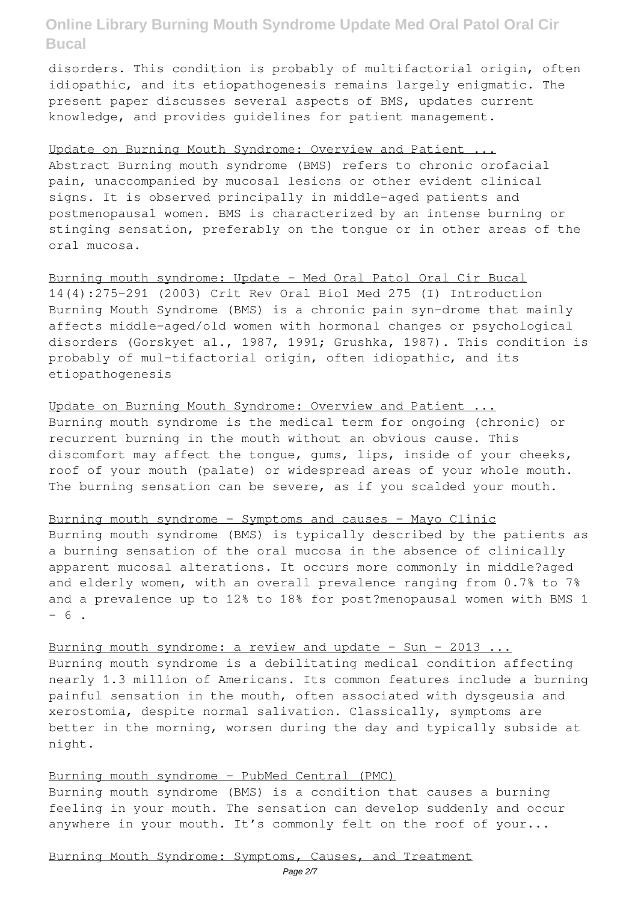disorders. This condition is probably of multifactorial origin, often idiopathic, and its etiopathogenesis remains largely enigmatic. The present paper discusses several aspects of BMS, updates current knowledge, and provides guidelines for patient management.

#### Update on Burning Mouth Syndrome: Overview and Patient ...

Abstract Burning mouth syndrome (BMS) refers to chronic orofacial pain, unaccompanied by mucosal lesions or other evident clinical signs. It is observed principally in middle-aged patients and postmenopausal women. BMS is characterized by an intense burning or stinging sensation, preferably on the tongue or in other areas of the oral mucosa.

Burning mouth syndrome: Update - Med Oral Patol Oral Cir Bucal 14(4):275-291 (2003) Crit Rev Oral Biol Med 275 (I) Introduction Burning Mouth Syndrome (BMS) is a chronic pain syn-drome that mainly affects middle-aged/old women with hormonal changes or psychological disorders (Gorskyet al., 1987, 1991; Grushka, 1987). This condition is probably of mul-tifactorial origin, often idiopathic, and its etiopathogenesis

### Update on Burning Mouth Syndrome: Overview and Patient ... Burning mouth syndrome is the medical term for ongoing (chronic) or recurrent burning in the mouth without an obvious cause. This discomfort may affect the tongue, gums, lips, inside of your cheeks, roof of your mouth (palate) or widespread areas of your whole mouth. The burning sensation can be severe, as if you scalded your mouth.

#### Burning mouth syndrome - Symptoms and causes - Mayo Clinic

Burning mouth syndrome (BMS) is typically described by the patients as a burning sensation of the oral mucosa in the absence of clinically apparent mucosal alterations. It occurs more commonly in middle?aged and elderly women, with an overall prevalence ranging from 0.7% to 7% and a prevalence up to 12% to 18% for post?menopausal women with BMS 1  $- 6$ .

#### Burning mouth syndrome: a review and update - Sun - 2013 ...

Burning mouth syndrome is a debilitating medical condition affecting nearly 1.3 million of Americans. Its common features include a burning painful sensation in the mouth, often associated with dysgeusia and xerostomia, despite normal salivation. Classically, symptoms are better in the morning, worsen during the day and typically subside at night.

#### Burning mouth syndrome - PubMed Central (PMC)

Burning mouth syndrome (BMS) is a condition that causes a burning feeling in your mouth. The sensation can develop suddenly and occur anywhere in your mouth. It's commonly felt on the roof of your...

#### Burning Mouth Syndrome: Symptoms, Causes, and Treatment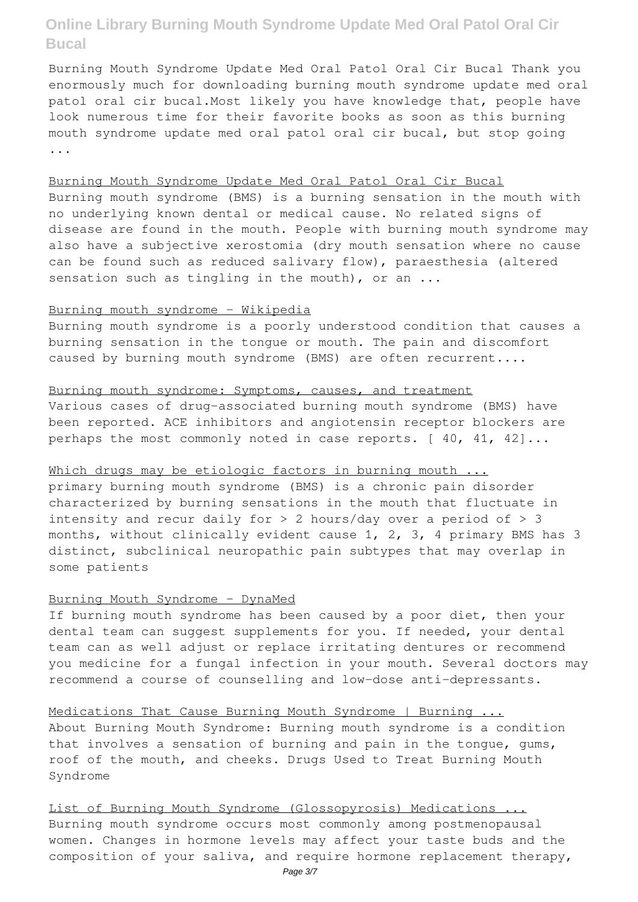Burning Mouth Syndrome Update Med Oral Patol Oral Cir Bucal Thank you enormously much for downloading burning mouth syndrome update med oral patol oral cir bucal.Most likely you have knowledge that, people have look numerous time for their favorite books as soon as this burning mouth syndrome update med oral patol oral cir bucal, but stop going ...

Burning Mouth Syndrome Update Med Oral Patol Oral Cir Bucal Burning mouth syndrome (BMS) is a burning sensation in the mouth with no underlying known dental or medical cause. No related signs of disease are found in the mouth. People with burning mouth syndrome may also have a subjective xerostomia (dry mouth sensation where no cause can be found such as reduced salivary flow), paraesthesia (altered sensation such as tingling in the mouth), or an ...

#### Burning mouth syndrome - Wikipedia

Burning mouth syndrome is a poorly understood condition that causes a burning sensation in the tongue or mouth. The pain and discomfort caused by burning mouth syndrome (BMS) are often recurrent....

#### Burning mouth syndrome: Symptoms, causes, and treatment

Various cases of drug-associated burning mouth syndrome (BMS) have been reported. ACE inhibitors and angiotensin receptor blockers are perhaps the most commonly noted in case reports. [ 40, 41, 42]...

#### Which drugs may be etiologic factors in burning mouth ...

primary burning mouth syndrome (BMS) is a chronic pain disorder characterized by burning sensations in the mouth that fluctuate in intensity and recur daily for  $> 2$  hours/day over a period of  $> 3$ months, without clinically evident cause 1, 2, 3, 4 primary BMS has 3 distinct, subclinical neuropathic pain subtypes that may overlap in some patients

#### Burning Mouth Syndrome - DynaMed

If burning mouth syndrome has been caused by a poor diet, then your dental team can suggest supplements for you. If needed, your dental team can as well adjust or replace irritating dentures or recommend you medicine for a fungal infection in your mouth. Several doctors may recommend a course of counselling and low-dose anti-depressants.

Medications That Cause Burning Mouth Syndrome | Burning ... About Burning Mouth Syndrome: Burning mouth syndrome is a condition that involves a sensation of burning and pain in the tongue, gums, roof of the mouth, and cheeks. Drugs Used to Treat Burning Mouth Syndrome

List of Burning Mouth Syndrome (Glossopyrosis) Medications ... Burning mouth syndrome occurs most commonly among postmenopausal women. Changes in hormone levels may affect your taste buds and the composition of your saliva, and require hormone replacement therapy,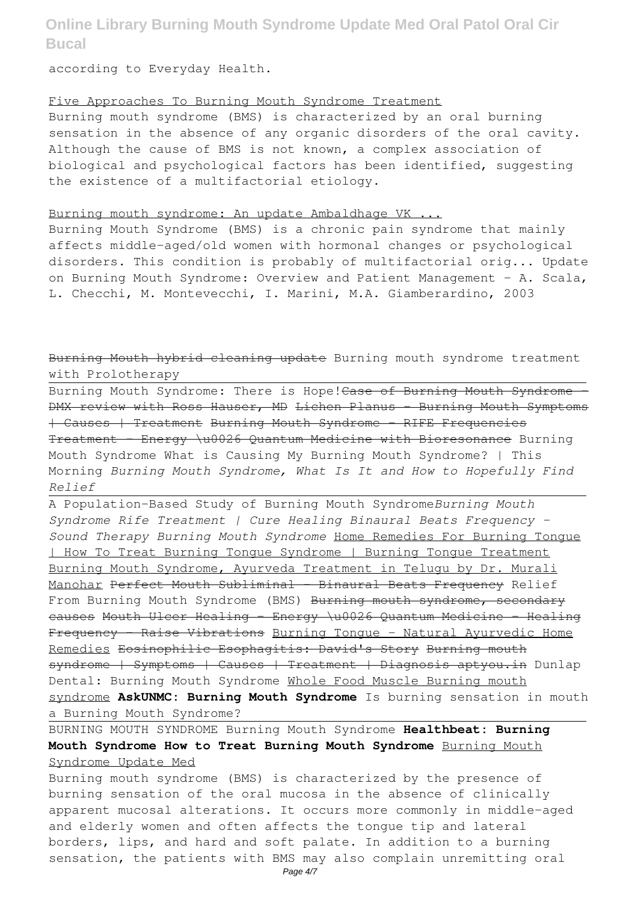according to Everyday Health.

#### Five Approaches To Burning Mouth Syndrome Treatment

Burning mouth syndrome (BMS) is characterized by an oral burning sensation in the absence of any organic disorders of the oral cavity. Although the cause of BMS is not known, a complex association of biological and psychological factors has been identified, suggesting the existence of a multifactorial etiology.

#### Burning mouth syndrome: An update Ambaldhage VK ...

Burning Mouth Syndrome (BMS) is a chronic pain syndrome that mainly affects middle-aged/old women with hormonal changes or psychological disorders. This condition is probably of multifactorial orig... Update on Burning Mouth Syndrome: Overview and Patient Management - A. Scala, L. Checchi, M. Montevecchi, I. Marini, M.A. Giamberardino, 2003

Burning Mouth hybrid cleaning update Burning mouth syndrome treatment with Prolotherapy

Burning Mouth Syndrome: There is Hope! Case of Burning Mouth Syndrome DMX review with Ross Hauser, MD Lichen Planus - Burning Mouth Symptoms | Causes | Treatment Burning Mouth Syndrome - RIFE Frequencies Treatment - Energy \u0026 Quantum Medicine with Bioresonance Burning Mouth Syndrome What is Causing My Burning Mouth Syndrome? | This Morning *Burning Mouth Syndrome, What Is It and How to Hopefully Find Relief*

A Population-Based Study of Burning Mouth Syndrome*Burning Mouth Syndrome Rife Treatment | Cure Healing Binaural Beats Frequency - Sound Therapy Burning Mouth Syndrome* Home Remedies For Burning Tongue | How To Treat Burning Tongue Syndrome | Burning Tongue Treatment Burning Mouth Syndrome, Ayurveda Treatment in Telugu by Dr. Murali Manohar Perfect Mouth Subliminal - Binaural Beats Frequency Relief From Burning Mouth Syndrome (BMS) Burning mouth syndrome, secondary causes Mouth Ulcer Healing - Energy \u0026 Quantum Medicine - Healing Frequency - Raise Vibrations Burning Tongue - Natural Ayurvedic Home Remedies Eosinophilic Esophagitis: David's Story Burning mouth syndrome | Symptoms | Causes | Treatment | Diagnosis aptyou.in Dunlap Dental: Burning Mouth Syndrome Whole Food Muscle Burning mouth syndrome **AskUNMC: Burning Mouth Syndrome** Is burning sensation in mouth a Burning Mouth Syndrome?

BURNING MOUTH SYNDROME Burning Mouth Syndrome **Healthbeat: Burning Mouth Syndrome How to Treat Burning Mouth Syndrome** Burning Mouth Syndrome Update Med

Burning mouth syndrome (BMS) is characterized by the presence of burning sensation of the oral mucosa in the absence of clinically apparent mucosal alterations. It occurs more commonly in middle-aged and elderly women and often affects the tongue tip and lateral borders, lips, and hard and soft palate. In addition to a burning sensation, the patients with BMS may also complain unremitting oral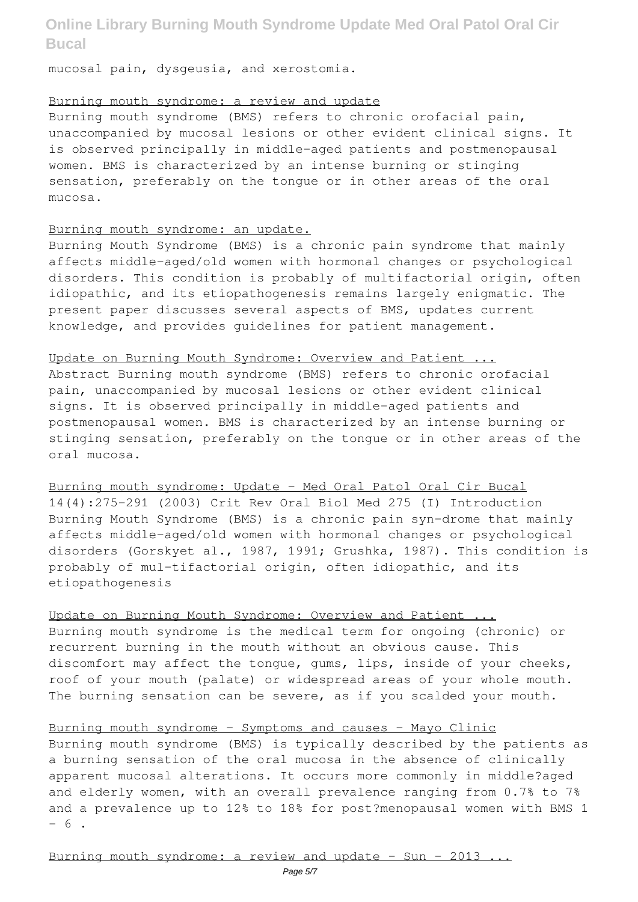mucosal pain, dysgeusia, and xerostomia.

#### Burning mouth syndrome: a review and update

Burning mouth syndrome (BMS) refers to chronic orofacial pain, unaccompanied by mucosal lesions or other evident clinical signs. It is observed principally in middle-aged patients and postmenopausal women. BMS is characterized by an intense burning or stinging sensation, preferably on the tongue or in other areas of the oral mucosa.

#### Burning mouth syndrome: an update.

Burning Mouth Syndrome (BMS) is a chronic pain syndrome that mainly affects middle-aged/old women with hormonal changes or psychological disorders. This condition is probably of multifactorial origin, often idiopathic, and its etiopathogenesis remains largely enigmatic. The present paper discusses several aspects of BMS, updates current knowledge, and provides guidelines for patient management.

#### Update on Burning Mouth Syndrome: Overview and Patient ...

Abstract Burning mouth syndrome (BMS) refers to chronic orofacial pain, unaccompanied by mucosal lesions or other evident clinical signs. It is observed principally in middle-aged patients and postmenopausal women. BMS is characterized by an intense burning or stinging sensation, preferably on the tongue or in other areas of the oral mucosa.

#### Burning mouth syndrome: Update - Med Oral Patol Oral Cir Bucal

14(4):275-291 (2003) Crit Rev Oral Biol Med 275 (I) Introduction Burning Mouth Syndrome (BMS) is a chronic pain syn-drome that mainly affects middle-aged/old women with hormonal changes or psychological disorders (Gorskyet al., 1987, 1991; Grushka, 1987). This condition is probably of mul-tifactorial origin, often idiopathic, and its etiopathogenesis

#### Update on Burning Mouth Syndrome: Overview and Patient ...

Burning mouth syndrome is the medical term for ongoing (chronic) or recurrent burning in the mouth without an obvious cause. This discomfort may affect the tongue, gums, lips, inside of your cheeks, roof of your mouth (palate) or widespread areas of your whole mouth. The burning sensation can be severe, as if you scalded your mouth.

#### Burning mouth syndrome - Symptoms and causes - Mayo Clinic

Burning mouth syndrome (BMS) is typically described by the patients as a burning sensation of the oral mucosa in the absence of clinically apparent mucosal alterations. It occurs more commonly in middle?aged and elderly women, with an overall prevalence ranging from 0.7% to 7% and a prevalence up to 12% to 18% for post?menopausal women with BMS 1  $- 6$ .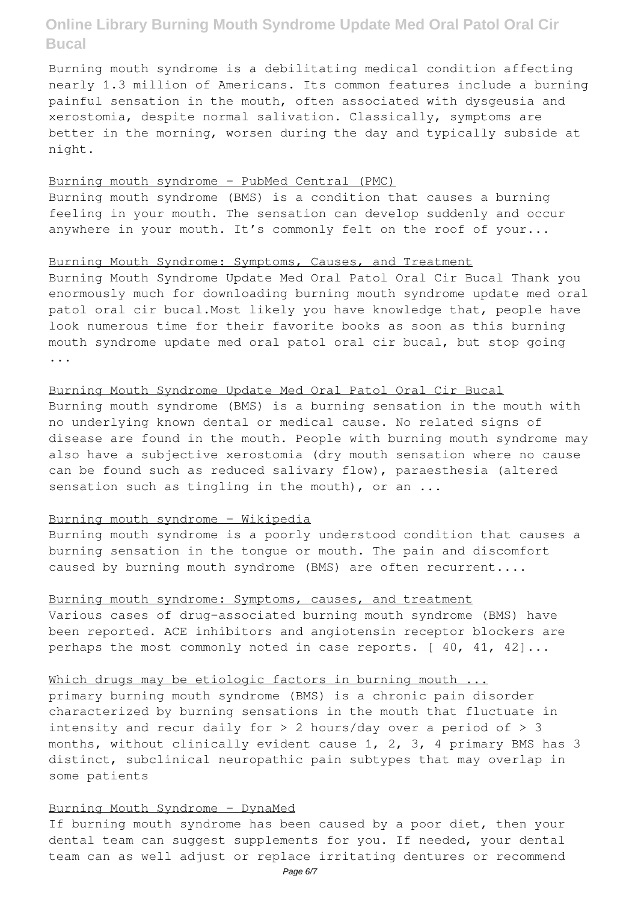Burning mouth syndrome is a debilitating medical condition affecting nearly 1.3 million of Americans. Its common features include a burning painful sensation in the mouth, often associated with dysgeusia and xerostomia, despite normal salivation. Classically, symptoms are better in the morning, worsen during the day and typically subside at night.

#### Burning mouth syndrome - PubMed Central (PMC)

Burning mouth syndrome (BMS) is a condition that causes a burning feeling in your mouth. The sensation can develop suddenly and occur anywhere in your mouth. It's commonly felt on the roof of your...

#### Burning Mouth Syndrome: Symptoms, Causes, and Treatment

Burning Mouth Syndrome Update Med Oral Patol Oral Cir Bucal Thank you enormously much for downloading burning mouth syndrome update med oral patol oral cir bucal.Most likely you have knowledge that, people have look numerous time for their favorite books as soon as this burning mouth syndrome update med oral patol oral cir bucal, but stop going ...

### Burning Mouth Syndrome Update Med Oral Patol Oral Cir Bucal Burning mouth syndrome (BMS) is a burning sensation in the mouth with no underlying known dental or medical cause. No related signs of disease are found in the mouth. People with burning mouth syndrome may also have a subjective xerostomia (dry mouth sensation where no cause can be found such as reduced salivary flow), paraesthesia (altered sensation such as tingling in the mouth), or an ...

#### Burning mouth syndrome - Wikipedia

Burning mouth syndrome is a poorly understood condition that causes a burning sensation in the tongue or mouth. The pain and discomfort caused by burning mouth syndrome (BMS) are often recurrent....

#### Burning mouth syndrome: Symptoms, causes, and treatment

Various cases of drug-associated burning mouth syndrome (BMS) have been reported. ACE inhibitors and angiotensin receptor blockers are perhaps the most commonly noted in case reports. [ 40, 41, 42]...

#### Which drugs may be etiologic factors in burning mouth ...

primary burning mouth syndrome (BMS) is a chronic pain disorder characterized by burning sensations in the mouth that fluctuate in intensity and recur daily for  $> 2$  hours/day over a period of  $> 3$ months, without clinically evident cause 1, 2, 3, 4 primary BMS has 3 distinct, subclinical neuropathic pain subtypes that may overlap in some patients

#### Burning Mouth Syndrome - DynaMed

If burning mouth syndrome has been caused by a poor diet, then your dental team can suggest supplements for you. If needed, your dental team can as well adjust or replace irritating dentures or recommend